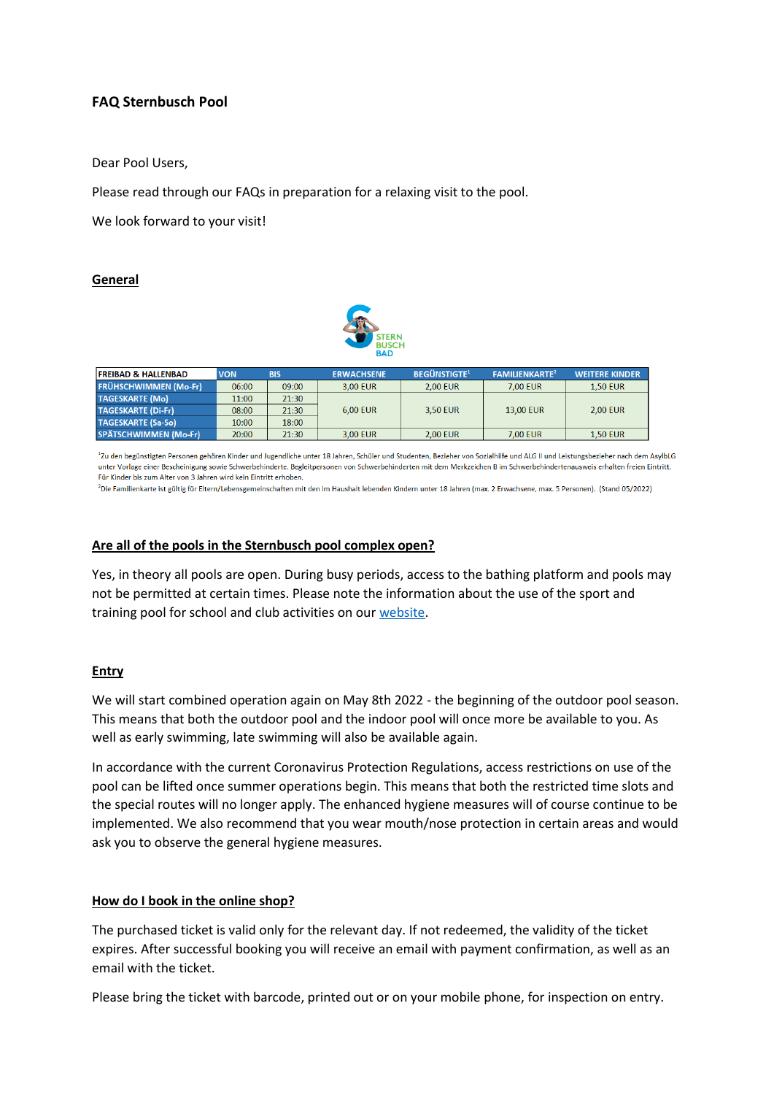# **FAQ Sternbusch Pool**

Dear Pool Users,

Please read through our FAQs in preparation for a relaxing visit to the pool.

We look forward to your visit!

## **General**



| <b>IFREIBAD &amp; HALLENBAD</b> | <b>VON</b> | <b>BIS</b> | <b>ERWACHSENE</b> | <b>BEGÜNSTIGTE<sup>1</sup></b> | <b>FAMILIENKARTE</b> <sup>2</sup> | <b>WEITERE KINDER</b> |
|---------------------------------|------------|------------|-------------------|--------------------------------|-----------------------------------|-----------------------|
| <b>FRÜHSCHWIMMEN (Mo-Fr)</b>    | 06:00      | 09:00      | 3.00 EUR          | <b>2.00 EUR</b>                | <b>7.00 EUR</b>                   | <b>1.50 EUR</b>       |
| <b>TAGESKARTE (Mo)</b>          | 11:00      | 21:30      |                   |                                |                                   |                       |
| <b>TAGESKARTE (Di-Fr)</b>       | 08:00      | 21:30      | 6.00 EUR          | 3.50 EUR                       | <b>13.00 EUR</b>                  | <b>2,00 EUR</b>       |
| <b>TAGESKARTE (Sa-So)</b>       | 10:00      | 18:00      |                   |                                |                                   |                       |
| SPÄTSCHWIMMEN (Mo-Fr)           | 20:00      | 21:30      | 3,00 EUR          | <b>2,00 EUR</b>                | <b>7.00 EUR</b>                   | <b>1,50 EUR</b>       |

<sup>1</sup>Zu den begünstigten Personen gehören Kinder und Jugendliche unter 18 Jahren, Schüler und Studenten, Bezieher von Sozialhilfe und ALG II und Leistungsbezieher nach dem AsylbLG unter Vorlage einer Bescheinigung sowie Schwerbehinderte. Begleitpersonen von Schwerbehinderten mit dem Merkzeichen B im Schwerbehindertenausweis erhalten freien Eintritt. Für Kinder bis zum Alter von 3 Jahren wird kein Eintritt erhoben.

<sup>2</sup>Die Familienkarte ist gültig für Eltern/Lebensgemeinschaften mit den im Haushalt lebenden Kindern unter 18 Jahren (max. 2 Erwachsene, max. 5 Personen). (Stand 05/2022)

#### **Are all of the pools in the Sternbusch pool complex open?**

Yes, in theory all pools are open. During busy periods, access to the bathing platform and pools may not be permitted at certain times. Please note the information about the use of the sport and training pool for school and club activities on ou[r website.](https://sternbuschbad.de/en/beckenbelegung/)

## **Entry**

We will start combined operation again on May 8th 2022 - the beginning of the outdoor pool season. This means that both the outdoor pool and the indoor pool will once more be available to you. As well as early swimming, late swimming will also be available again.

In accordance with the current Coronavirus Protection Regulations, access restrictions on use of the pool can be lifted once summer operations begin. This means that both the restricted time slots and the special routes will no longer apply. The enhanced hygiene measures will of course continue to be implemented. We also recommend that you wear mouth/nose protection in certain areas and would ask you to observe the general hygiene measures.

#### **How do I book in the online shop?**

The purchased ticket is valid only for the relevant day. If not redeemed, the validity of the ticket expires. After successful booking you will receive an email with payment confirmation, as well as an email with the ticket.

Please bring the ticket with barcode, printed out or on your mobile phone, for inspection on entry.